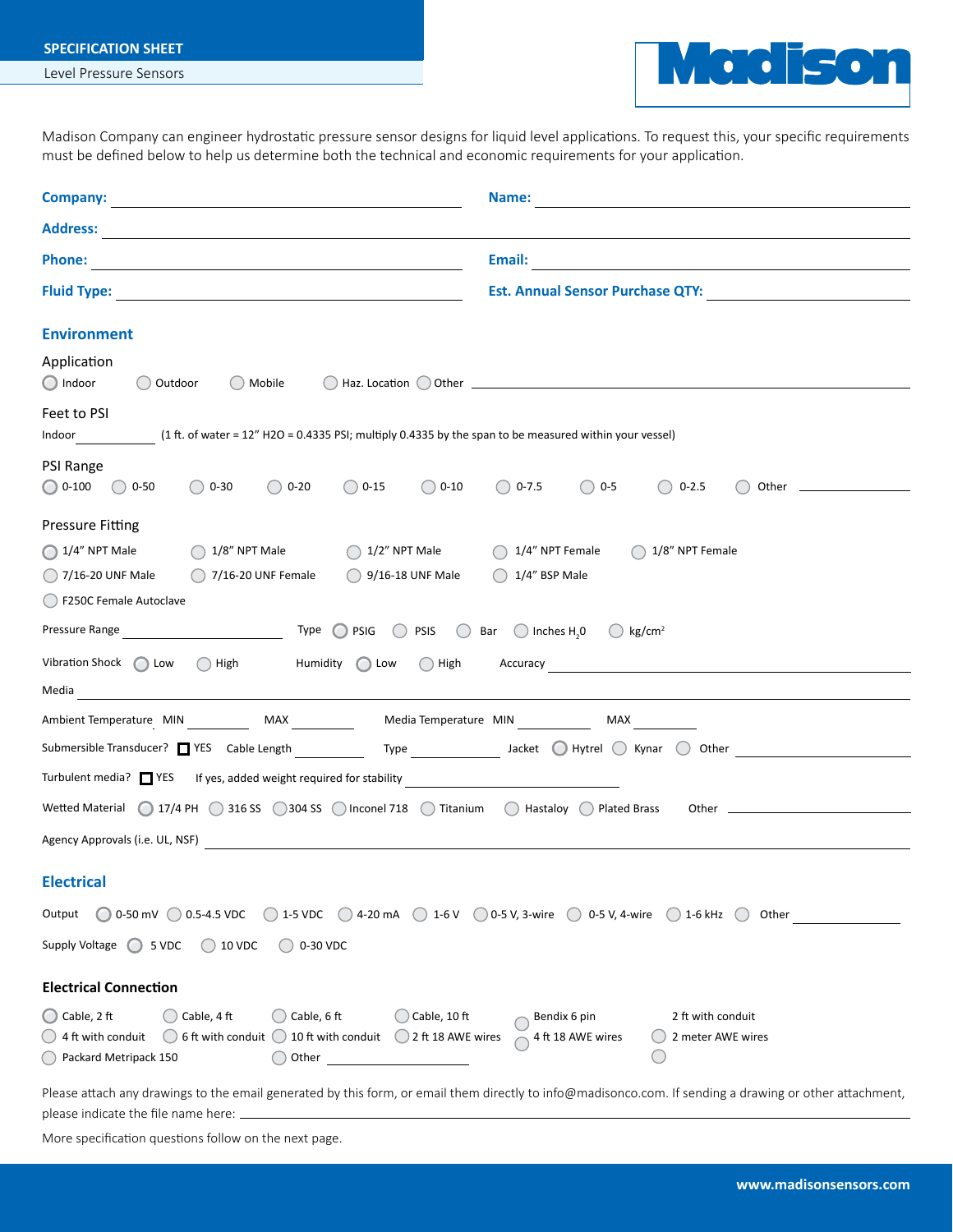## **SPECIFICATION SHEET**

Level Pressure Sensors



Madison Company can engineer hydrostatic pressure sensor designs for liquid level applications. To request this, your specific requirements must be defined below to help us determine both the technical and economic requirements for your application.

|                                                                                                                                                                                                                                                                                                                                                                                                       | Email: <b>Example 2008</b> and 2008 and 2008 and 2008 and 2008 and 2008 and 2008 and 2008 and 2008 and 2008 and 2008 and 2008 and 2008 and 2008 and 2008 and 2008 and 2008 and 2008 and 2008 and 2008 and 2008 and 2008 and 2008 an |
|-------------------------------------------------------------------------------------------------------------------------------------------------------------------------------------------------------------------------------------------------------------------------------------------------------------------------------------------------------------------------------------------------------|-------------------------------------------------------------------------------------------------------------------------------------------------------------------------------------------------------------------------------------|
|                                                                                                                                                                                                                                                                                                                                                                                                       | Est. Annual Sensor Purchase QTY:                                                                                                                                                                                                    |
| <b>Environment</b>                                                                                                                                                                                                                                                                                                                                                                                    |                                                                                                                                                                                                                                     |
| Application<br>O Indoor<br>( ) Outdoor<br>( ) Mobile                                                                                                                                                                                                                                                                                                                                                  | $\bigcirc$ Haz. Location $\bigcirc$ Other                                                                                                                                                                                           |
| Feet to PSI<br>Indoor (1 ft. of water = 12" H2O = 0.4335 PSI; multiply 0.4335 by the span to be measured within your vessel)                                                                                                                                                                                                                                                                          |                                                                                                                                                                                                                                     |
| PSI Range<br>$\bigcirc$ 0-30<br>$\bigcirc$ 0-20<br>$\bigcirc$ 0-15<br>$\bigcirc$ 0-10<br>$\bigcirc$ 0-100 $\bigcirc$ 0-50                                                                                                                                                                                                                                                                             | $\bigcirc$ 0-7.5<br>$\bigcirc$ 0-5<br>$()$ 0-2.5                                                                                                                                                                                    |
| <b>Pressure Fitting</b>                                                                                                                                                                                                                                                                                                                                                                               |                                                                                                                                                                                                                                     |
| $\bigcirc$ 1/4" NPT Male<br>$\bigcirc$ 1/8" NPT Male<br>7/16-20 UNF Female<br>$\bigcirc$ 9/16-18 UNF Male<br>$()$ 7/16-20 UNF Male<br>() F250C Female Autoclave                                                                                                                                                                                                                                       | $\bigcirc$ 1/2" NPT Male $\bigcirc$ 1/4" NPT Female $\bigcirc$ 1/8" NPT Female<br>$\bigcirc$ 1/4" BSP Male                                                                                                                          |
|                                                                                                                                                                                                                                                                                                                                                                                                       |                                                                                                                                                                                                                                     |
| Vibration Shock $\bigcap$ Low $\bigcap$ High<br>Humidity Low                                                                                                                                                                                                                                                                                                                                          |                                                                                                                                                                                                                                     |
| Media                                                                                                                                                                                                                                                                                                                                                                                                 |                                                                                                                                                                                                                                     |
| Ambient Temperature MIN ___________ MAX ____________ Media Temperature MIN ___________ MAX _________                                                                                                                                                                                                                                                                                                  |                                                                                                                                                                                                                                     |
| Submersible Transducer? $\Box$ YES Cable Length $\_\_\_\_\$ Type $\_\_\_\_\$ Jacket $\_\$ Hytrel $\_\$ Kynar $\_\$ Other $\_\_\_\_\_\_\_\_$                                                                                                                                                                                                                                                           |                                                                                                                                                                                                                                     |
| Turbulent media? T YES If yes, added weight required for stability _________________________________                                                                                                                                                                                                                                                                                                  |                                                                                                                                                                                                                                     |
| Wetted Material $\bigcirc$ 17/4 PH $\bigcirc$ 316 SS $\bigcirc$ 304 SS $\bigcirc$ Inconel 718 $\bigcirc$ Titanium $\bigcirc$ Hastaloy $\bigcirc$ Plated Brass<br>Other <u>and the community of the community of the community of the community of the community of the community of the community of the community of the community of the community of the community of the community of the com</u> |                                                                                                                                                                                                                                     |
|                                                                                                                                                                                                                                                                                                                                                                                                       |                                                                                                                                                                                                                                     |
| <b>Electrical</b>                                                                                                                                                                                                                                                                                                                                                                                     |                                                                                                                                                                                                                                     |
| ○ 0-50 mV ○ 0.5-4.5 VDC ○ 1-5 VDC ○ 4-20 mA ○ 1-6 V ○ 0-5 V, 3-wire ○ 0-5 V, 4-wire ○ 1-6 kHz ○<br>Output                                                                                                                                                                                                                                                                                             | Other                                                                                                                                                                                                                               |
| Supply Voltage $\bigcirc$ 5 VDC<br>$\bigcirc$ 10 VDC<br>$\bigcirc$ 0-30 VDC                                                                                                                                                                                                                                                                                                                           |                                                                                                                                                                                                                                     |
| <b>Electrical Connection</b>                                                                                                                                                                                                                                                                                                                                                                          |                                                                                                                                                                                                                                     |
| $\bigcirc$ Cable, 2 ft<br>$\bigcirc$ Cable, 6 ft<br>$\bigcirc$ Cable, 10 ft<br>Cable, 4 ft<br>6 ft with conduit $\bigcirc$ 10 ft with conduit $\bigcirc$ 2 ft 18 AWE wires<br>4 ft with conduit<br>Packard Metripack 150<br>$\bigcirc$ Other $\_$                                                                                                                                                     | 2 ft with conduit<br>Bendix 6 pin<br>4 ft 18 AWE wires<br>2 meter AWE wires                                                                                                                                                         |
| Please attach any drawings to the email generated by this form, or email them directly to info@madisonco.com. If sending a drawing or other attachment,                                                                                                                                                                                                                                               |                                                                                                                                                                                                                                     |

please indicate the file name here:

More specification questions follow on the next page.